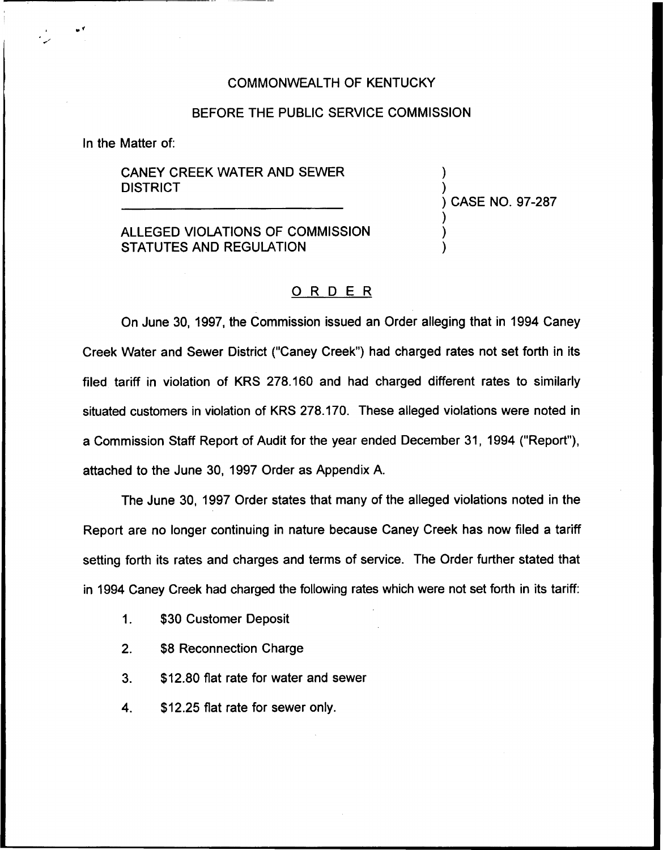## COMMONWEALTH OF KENTUCKY

## BEFORE THE PUBLIC SERVICE COMMISSION

In the Matter of:

CANEY CREEK WATER AND SEWER **DISTRICT** 

) ) CASE NO. 97-287 ) )

)

)

ALLEGED VIOLATIONS OF COMMISSION STATUTES AND REGULATION

## ORDER

On June 30, 1997, the Commission issued an Order alleging that in 1994 Caney Creek Water and Sewer District ("Caney Creek") had charged rates not set forth in its filed tariff in violation of KRS 278.160 and had charged different rates to similarly situated customers in violation of KRS 278.170. These alleged violations were noted in a Commission Staff Report of Audit for the year ended December 31, 1994 ("Report"), attached to the June 30, 1997 Order as Appendix A.

The June 30, 1997 Order states that many of the alleged violations noted in the Report are no longer continuing in nature because Caney Creek has now filed a tariff setting forth its rates and charges and terms of service. The Order further stated that in 1994 Caney Creek had charged the following rates which were not set forth in its tariff:

- $1<sub>1</sub>$ \$30 Customer Deposit
- 2. \$8 Reconnection Charge
- 3. \$12.80 flat rate for water and sewer
- 4. \$12.25 flat rate for sewer only.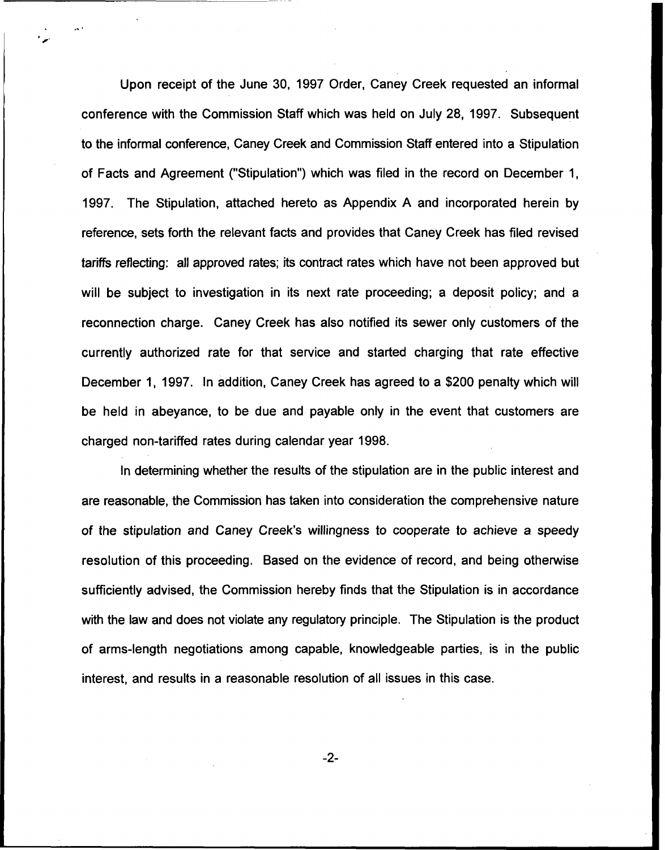Upon receipt of the June 30, 1997 Order, Caney Creek requested an informal conference with the Commission Staff which was held on July 28, 1997. Subsequent to the informal conference, Caney Creek and Commission Staff entered into a Stipulation of Facts and Agreement ("Stipulation") which was filed in the record on December 1, 1997. The Stipulation, attached hereto as Appendix A and incorporated herein by reference, sets forth the relevant facts and provides that Caney Creek has filed revised tariffs refiecting: all approved rates; its contract rates which have not been approved but will be subject to investigation in its next rate proceeding; a deposit policy; and a reconnection charge. Caney Creek has also notified its sewer only customers of the currently authorized rate for that service and started charging that rate effective December 1, 1997. In addition, Caney Creek has agreed to a \$200 penalty which will be held in abeyance, to be due and payable only in the event that customers are charged non-tariffed rates during calendar year 1998.

In determining whether the results of the stipulation are in the public interest and are reasonable, the Commission has taken into consideration the comprehensive nature of the stipulation and Caney Creek's willingness to cooperate to achieve a speedy resolution of this proceeding. Based on the evidence of record, and being otherwise sufficiently advised, the Commission hereby finds that the Stipulation is in accordance with the law and does not violate any regulatory principle. The Stipulation is the product of arms-length negotiations among capable, knowledgeable parties, is in the public interest, and results in a reasonable resolution of all issues in this case.

 $-2-$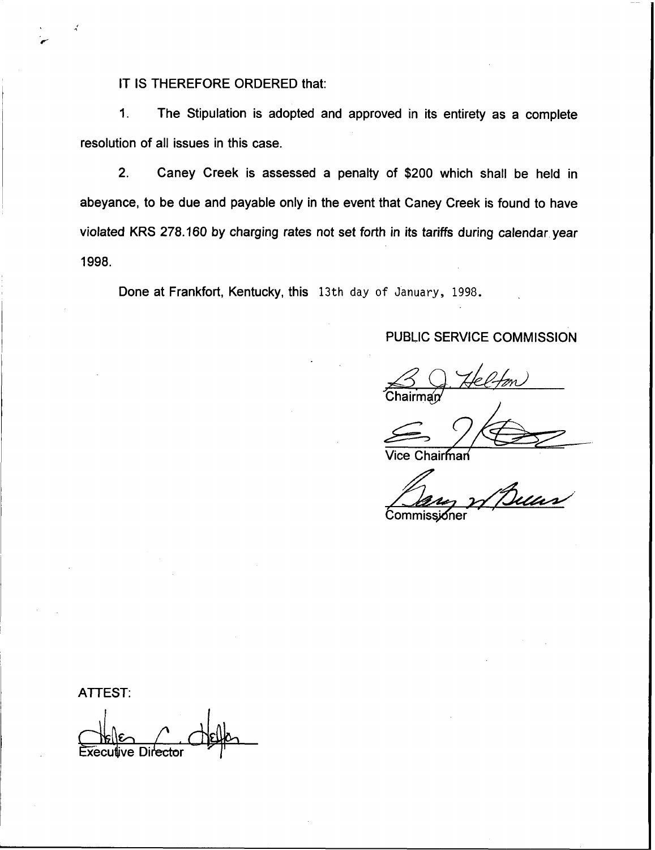IT IS THEREFORE ORDERED that:

1. The Stipulation is adopted and approved in its entirety as a complete resolution of all issues in this case.

2. Caney Creek is assessed a penalty of \$200 which shall be held in abeyance, to be due and payable only in the event that Caney Creek is found to have violated KRS 278.160 by charging rates not set forth in its tariffs during calendar year 1998.

Done at Frankfort, Kentucky, this 13th day of January, 1998.

# PUBLIC SERVICE COMMISSION

S Q. Helfon

Vice Chairman

Commissioner

ATTEST:

 $C$   $R$ Executive Director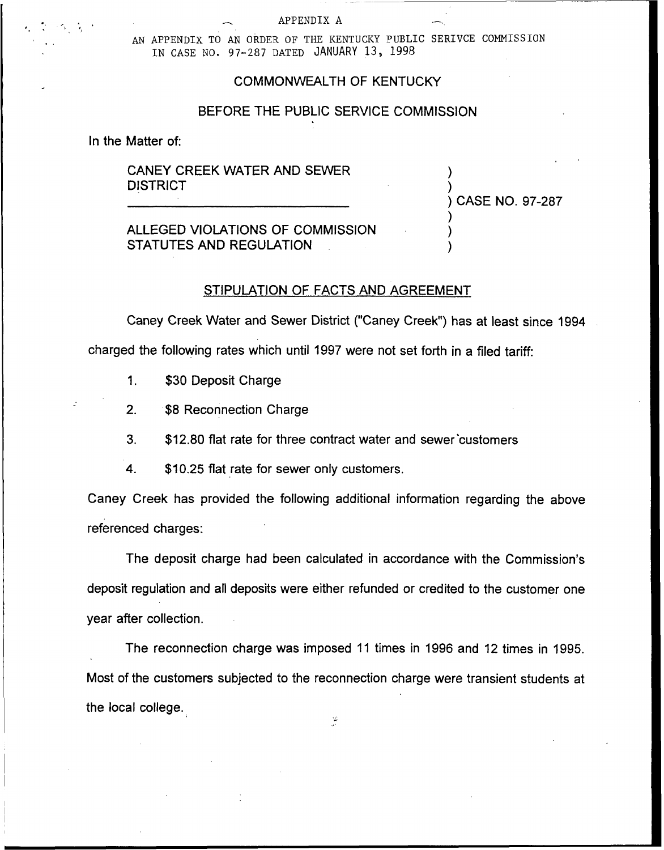#### APPENDIX A

AN APPENDIX TO AN ORDER OF THE KENTUCKY PUBLIC SERIVCE COMMISSION IN CASE NO. 97-287 DATED JANUARY 13, 1998

## COMMONWEALTH OF KENTUCKY

## BEFORE THE PUBLIC SERVICE COMMISSION

In the Matter of:

CANEY CREEK WATER AND SEWER **DISTRICT** 

) CASE NO. 97-287

) )

) ) )

ALLEGED VIOLATIONS OF COMMISSION STATUTES AND REGULATION

### STIPULATION OF FACTS AND AGREEMENT

Caney Creek Water and Sewer District ("Caney Creek") has at least since 1994 charged the following rates which until 1997 were not set forth in a filed tariff:

1. \$30 Deposit Charge

2. \$8 Reconnection Charge

3. \$12.80 fIat rate for three contract water and sewer'customers

4. \$10.25 flat rate for sewer only customers.

Caney Creek has provided the following additional information regarding the above referenced charges:

The deposit charge had been calculated in accordance with the Commission's deposit regulation and all deposits were either refunded or credited to the customer one year after collection.

The reconnection charge was imposed 11 times in 1996 and 12 times in 1995. Most of the customers subjected to the reconnection charge were transient students at the local college.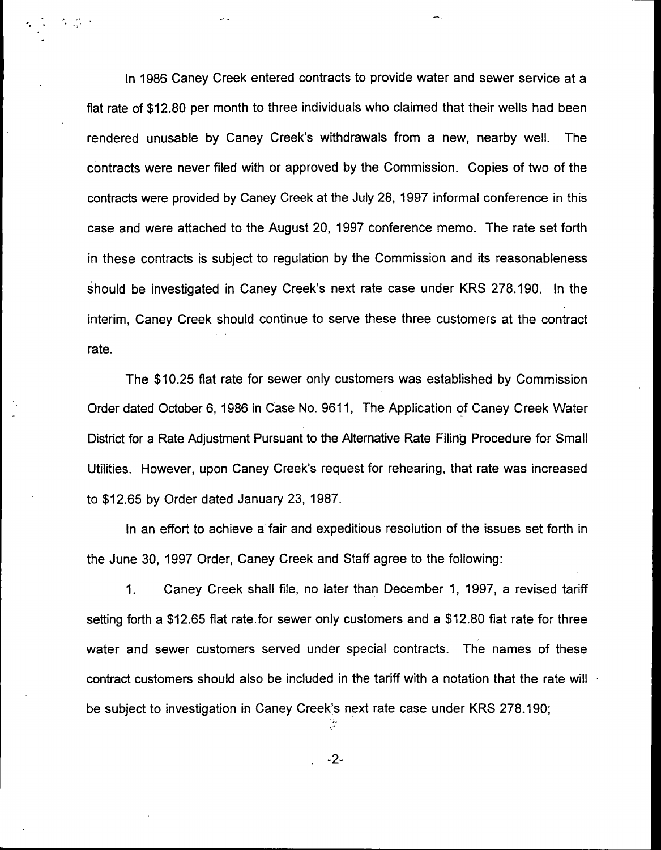In 1986 Caney Creek entered contracts to provide water and sewer service at a flat rate of \$12.80 per month to three individuals who claimed that their wells had been rendered unusable by Caney Creek's withdrawals from a new, nearby well. The contracts were never filed with or approved by the Commission. Copies of two of the contracts were provided by Caney Creek at the July 28, 1997 informal conference in this case and were attached to the August 20, 1997 conference memo. The rate set forth in these contracts is subject to regulation by the Commission and its reasonableness should be investigated in Caney Creek's next rate case under KRS 278.190. In the interim, Caney Creek should continue to serve these three customers at the contract rate.

 $\Delta \sim 10^{-11}$ 

The \$10,25 flat rate for sewer only customers was established by Commission Order dated October 6, 1986 in Case No. 9611, The Application of Caney Creek Water District for a Rate Adjustment Pursuant to the Alternative Rate Filing Procedure for Small Utilities. However, upon Caney Creek's request for rehearing, that rate was increased to \$12.65 by Order dated January 23, 198?.

In an effort to achieve a fair and expeditious resolution of the issues set forth in the June 30, 1997 Order, Caney Creek and Staff agree to the following:

 $1.$ Caney Creek shall file, no later than December 1, 1997, a revised tariff setting forth a \$12.65 flat rate. for sewer only customers and a \$12.80 flat rate for three water and sewer customers served under special contracts. The names of these contract customers should also be included in the tariff with a notation that the rate will be subject to investigation in Caney Creek's next rate case under KRS 278.190;

 $-2-$